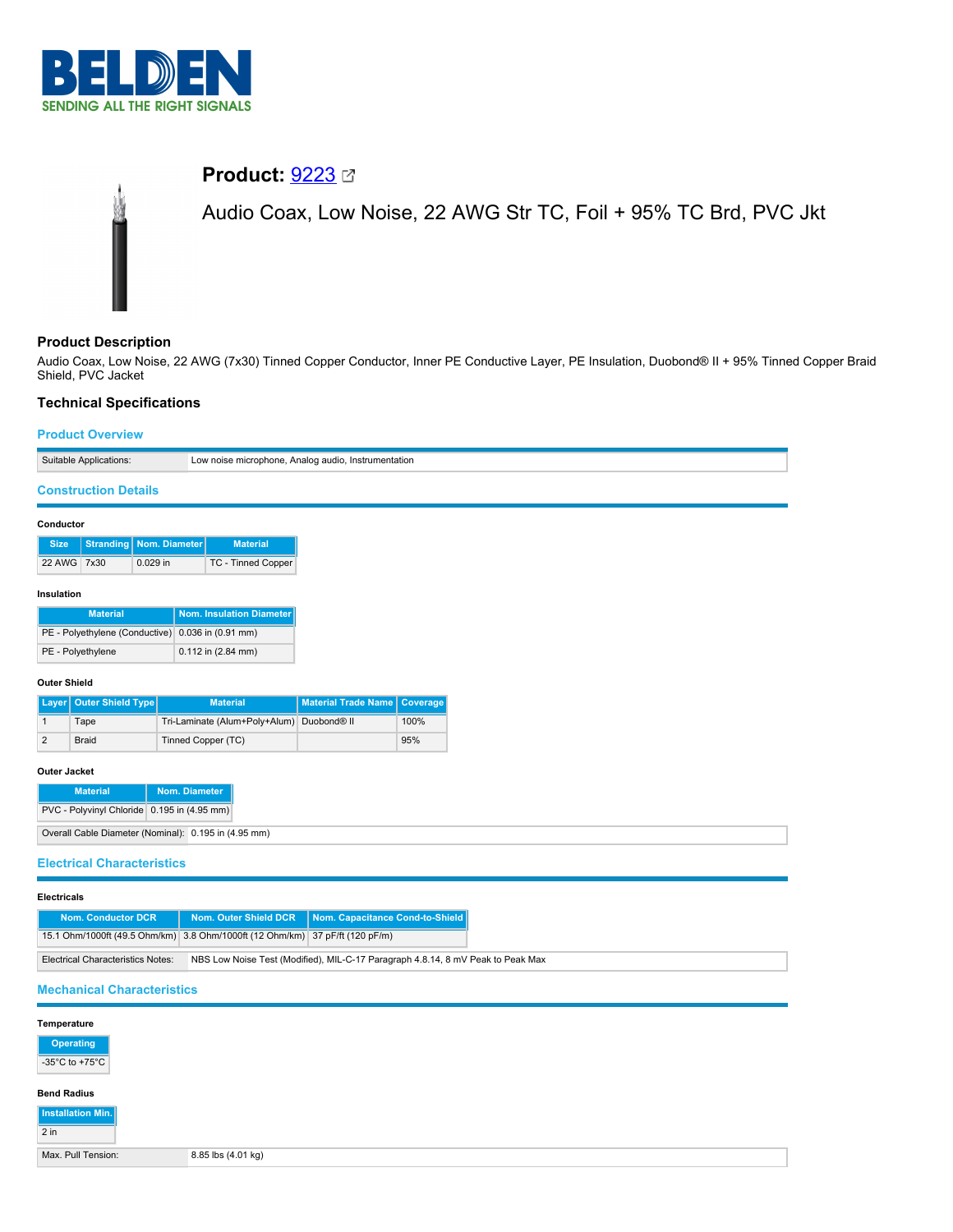

# **Product: [9223](https://catalog.belden.com/index.cfm?event=pd&p=PF_9223&tab=downloads)** 2

Audio Coax, Low Noise, 22 AWG Str TC, Foil + 95% TC Brd, PVC Jkt

## **Product Description**

Audio Coax, Low Noise, 22 AWG (7x30) Tinned Copper Conductor, Inner PE Conductive Layer, PE Insulation, Duobond® II + 95% Tinned Copper Braid Shield, PVC Jacket

## **Technical Specifications**

### **Product Overview**

 $\overline{2 \text{ in}}$ 

| Suitable Applications:                                                                                                      | Low noise microphone, Analog audio, Instrumentation |                            |          |  |  |  |  |  |
|-----------------------------------------------------------------------------------------------------------------------------|-----------------------------------------------------|----------------------------|----------|--|--|--|--|--|
| <b>Construction Details</b>                                                                                                 |                                                     |                            |          |  |  |  |  |  |
|                                                                                                                             |                                                     |                            |          |  |  |  |  |  |
| Conductor                                                                                                                   |                                                     |                            |          |  |  |  |  |  |
| <b>Stranding</b><br>Nom. Diameter<br><b>Material</b><br><b>Size</b>                                                         |                                                     |                            |          |  |  |  |  |  |
| 22 AWG 7x30<br>0.029 in<br>TC - Tinned Copper                                                                               |                                                     |                            |          |  |  |  |  |  |
| Insulation                                                                                                                  |                                                     |                            |          |  |  |  |  |  |
| <b>Material</b>                                                                                                             | Nom. Insulation Diameter                            |                            |          |  |  |  |  |  |
| PE - Polyethylene (Conductive) 0.036 in (0.91 mm)                                                                           |                                                     |                            |          |  |  |  |  |  |
| PE - Polyethylene<br>0.112 in (2.84 mm)                                                                                     |                                                     |                            |          |  |  |  |  |  |
| <b>Outer Shield</b>                                                                                                         |                                                     |                            |          |  |  |  |  |  |
| <b>Outer Shield Type</b><br>Layer                                                                                           | <b>Material</b>                                     | <b>Material Trade Name</b> | Coverage |  |  |  |  |  |
| Tape<br>$\mathbf{1}$                                                                                                        | Tri-Laminate (Alum+Poly+Alum)                       | Duobond <sup>®</sup> II    | 100%     |  |  |  |  |  |
| $\overline{\mathbf{c}}$<br><b>Braid</b>                                                                                     | Tinned Copper (TC)                                  |                            | 95%      |  |  |  |  |  |
| Outer Jacket                                                                                                                |                                                     |                            |          |  |  |  |  |  |
| <b>Material</b>                                                                                                             | Nom. Diameter                                       |                            |          |  |  |  |  |  |
| PVC - Polyvinyl Chloride 0.195 in (4.95 mm)                                                                                 |                                                     |                            |          |  |  |  |  |  |
| Overall Cable Diameter (Nominal): 0.195 in (4.95 mm)                                                                        |                                                     |                            |          |  |  |  |  |  |
|                                                                                                                             |                                                     |                            |          |  |  |  |  |  |
| <b>Electrical Characteristics</b>                                                                                           |                                                     |                            |          |  |  |  |  |  |
| <b>Electricals</b>                                                                                                          |                                                     |                            |          |  |  |  |  |  |
| Nom. Outer Shield DCR<br>Nom. Capacitance Cond-to-Shield<br><b>Nom. Conductor DCR</b>                                       |                                                     |                            |          |  |  |  |  |  |
| 15.1 Ohm/1000ft (49.5 Ohm/km) 3.8 Ohm/1000ft (12 Ohm/km) 37 pF/ft (120 pF/m)                                                |                                                     |                            |          |  |  |  |  |  |
| <b>Electrical Characteristics Notes:</b><br>NBS Low Noise Test (Modified), MIL-C-17 Paragraph 4.8.14, 8 mV Peak to Peak Max |                                                     |                            |          |  |  |  |  |  |
| <b>Mechanical Characteristics</b>                                                                                           |                                                     |                            |          |  |  |  |  |  |
| Temperature                                                                                                                 |                                                     |                            |          |  |  |  |  |  |
|                                                                                                                             |                                                     |                            |          |  |  |  |  |  |
| <b>Operating</b><br>-35 $^{\circ}$ C to +75 $^{\circ}$ C                                                                    |                                                     |                            |          |  |  |  |  |  |
|                                                                                                                             |                                                     |                            |          |  |  |  |  |  |
| <b>Bend Radius</b><br>Installation Min.                                                                                     |                                                     |                            |          |  |  |  |  |  |

Max. Pull Tension: 8.85 lbs (4.01 kg)